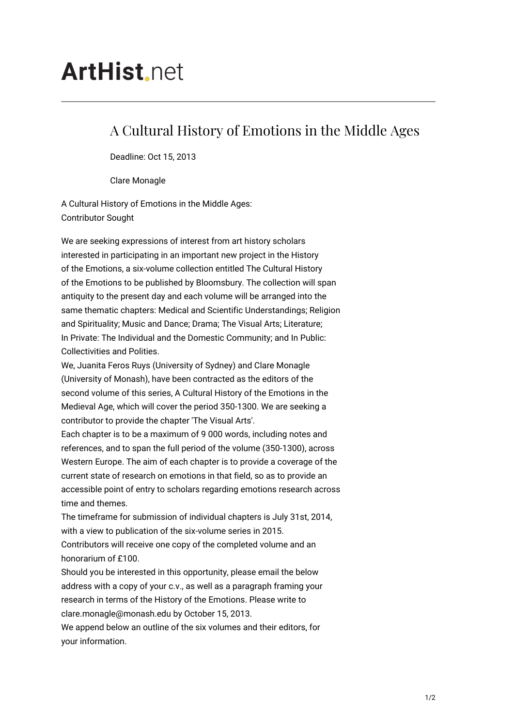## **ArtHist**, net

## A Cultural History of Emotions in the Middle Ages

Deadline: Oct 15, 2013

Clare Monagle

A Cultural History of Emotions in the Middle Ages: Contributor Sought

We are seeking expressions of interest from art history scholars interested in participating in an important new project in the History of the Emotions, a six-volume collection entitled The Cultural History of the Emotions to be published by Bloomsbury. The collection will span antiquity to the present day and each volume will be arranged into the same thematic chapters: Medical and Scientific Understandings; Religion and Spirituality; Music and Dance; Drama; The Visual Arts; Literature; In Private: The Individual and the Domestic Community; and In Public: Collectivities and Polities.

We, Juanita Feros Ruys (University of Sydney) and Clare Monagle (University of Monash), have been contracted as the editors of the second volume of this series, A Cultural History of the Emotions in the Medieval Age, which will cover the period 350-1300. We are seeking a contributor to provide the chapter 'The Visual Arts'.

Each chapter is to be a maximum of 9 000 words, including notes and references, and to span the full period of the volume (350-1300), across Western Europe. The aim of each chapter is to provide a coverage of the current state of research on emotions in that field, so as to provide an accessible point of entry to scholars regarding emotions research across time and themes.

The timeframe for submission of individual chapters is July 31st, 2014, with a view to publication of the six-volume series in 2015. Contributors will receive one copy of the completed volume and an honorarium of £100.

Should you be interested in this opportunity, please email the below address with a copy of your c.v., as well as a paragraph framing your research in terms of the History of the Emotions. Please write to clare.monagle@monash.edu by October 15, 2013.

We append below an outline of the six volumes and their editors, for your information.